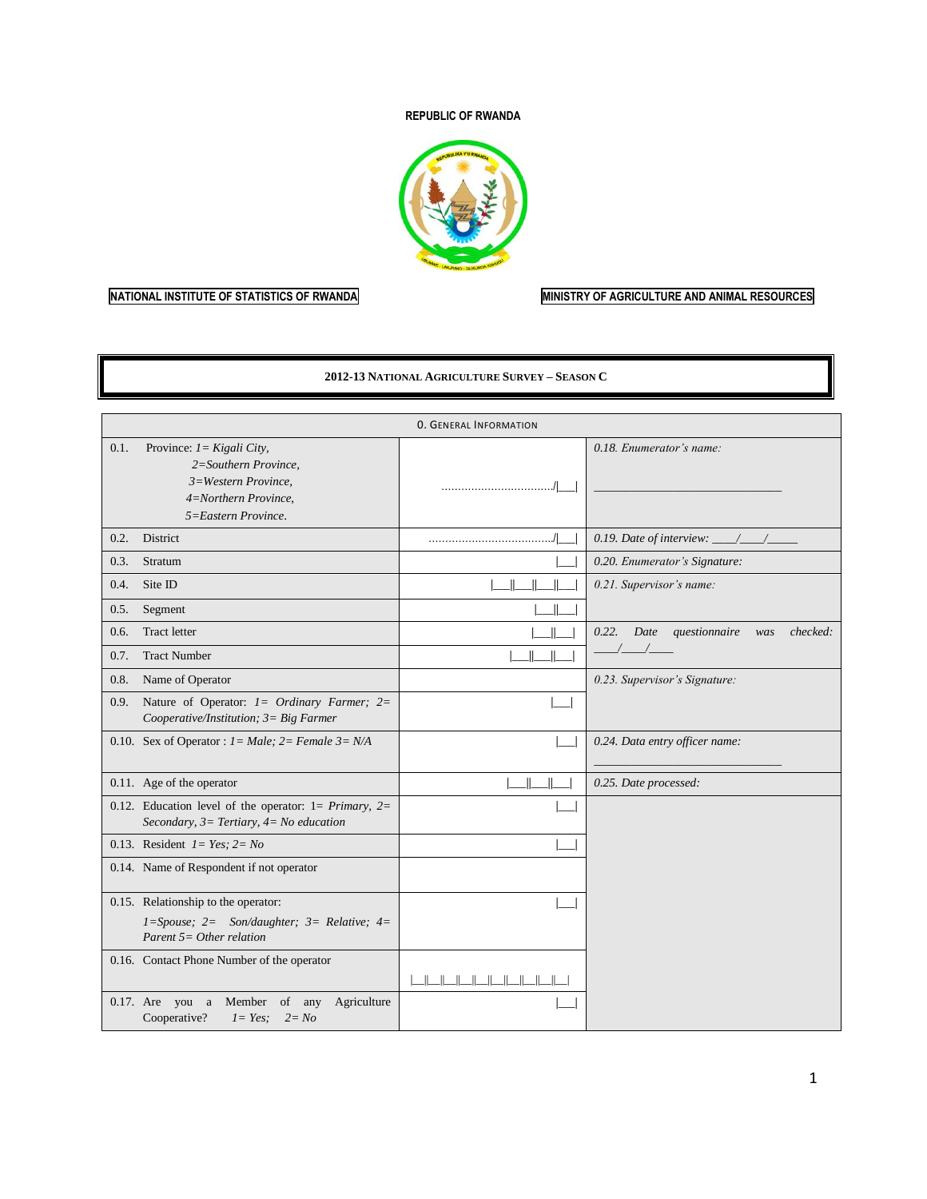#### **REPUBLIC OF RWANDA**



#### **NATIONAL INSTITUTE OF STATISTICS OF RWANDA MINISTRY OF AGRICULTURE AND ANIMAL RESOURCES**

#### **2012-13 NATIONAL AGRICULTURE SURVEY – SEASON C**

|      |                                                                                                                             | <b>0. GENERAL INFORMATION</b> |                                                   |
|------|-----------------------------------------------------------------------------------------------------------------------------|-------------------------------|---------------------------------------------------|
| 0.1. | Province: $1 = Kigali City$ ,<br>2=Southern Province,<br>3=Western Province,<br>4=Northern Province,<br>5=Eastern Province. |                               | 0.18. Enumerator's name:                          |
| 0.2. | District                                                                                                                    |                               | 0.19. Date of interview: $\frac{\gamma}{\gamma}$  |
| 0.3. | Stratum                                                                                                                     |                               | 0.20. Enumerator's Signature:                     |
| 0.4. | Site ID                                                                                                                     |                               | 0.21. Supervisor's name:                          |
| 0.5. | Segment                                                                                                                     |                               |                                                   |
| 0.6. | <b>Tract letter</b>                                                                                                         |                               | checked:<br>questionnaire<br>0.22.<br>Date<br>was |
| 0.7. | <b>Tract Number</b>                                                                                                         |                               |                                                   |
| 0.8. | Name of Operator                                                                                                            |                               | 0.23. Supervisor's Signature:                     |
| 0.9. | Nature of Operator: $I = \text{Ordinary}$ Farmer; $2=$<br>Cooperative/Institution; $3 = Big\, Farrner$                      |                               |                                                   |
|      | 0.10. Sex of Operator : $1 = Male$ ; $2 = Female$ $3 = N/A$                                                                 |                               | 0.24. Data entry officer name:                    |
|      | 0.11. Age of the operator                                                                                                   | $\mathsf{I}$                  | 0.25. Date processed:                             |
|      | 0.12. Education level of the operator: $1 = Primary$ , $2 =$<br>Secondary, $3=$ Tertiary, $4=$ No education                 |                               |                                                   |
|      | 0.13. Resident $1 = Yes$ ; $2 = No$                                                                                         |                               |                                                   |
|      | 0.14. Name of Respondent if not operator                                                                                    |                               |                                                   |
|      | 0.15. Relationship to the operator:<br>$1 = Spouse; 2 = Son/day$ hter; 3 = Relative; 4 =<br>Parent $5=Other$ relation       |                               |                                                   |
|      | 0.16. Contact Phone Number of the operator                                                                                  | بالصالصالصالصالصالصالحا       |                                                   |
|      | Member<br>of<br>Agriculture<br>$0.17$ . Are you a<br>any<br>Cooperative?<br>$I=Yes$<br>$2 = No$                             |                               |                                                   |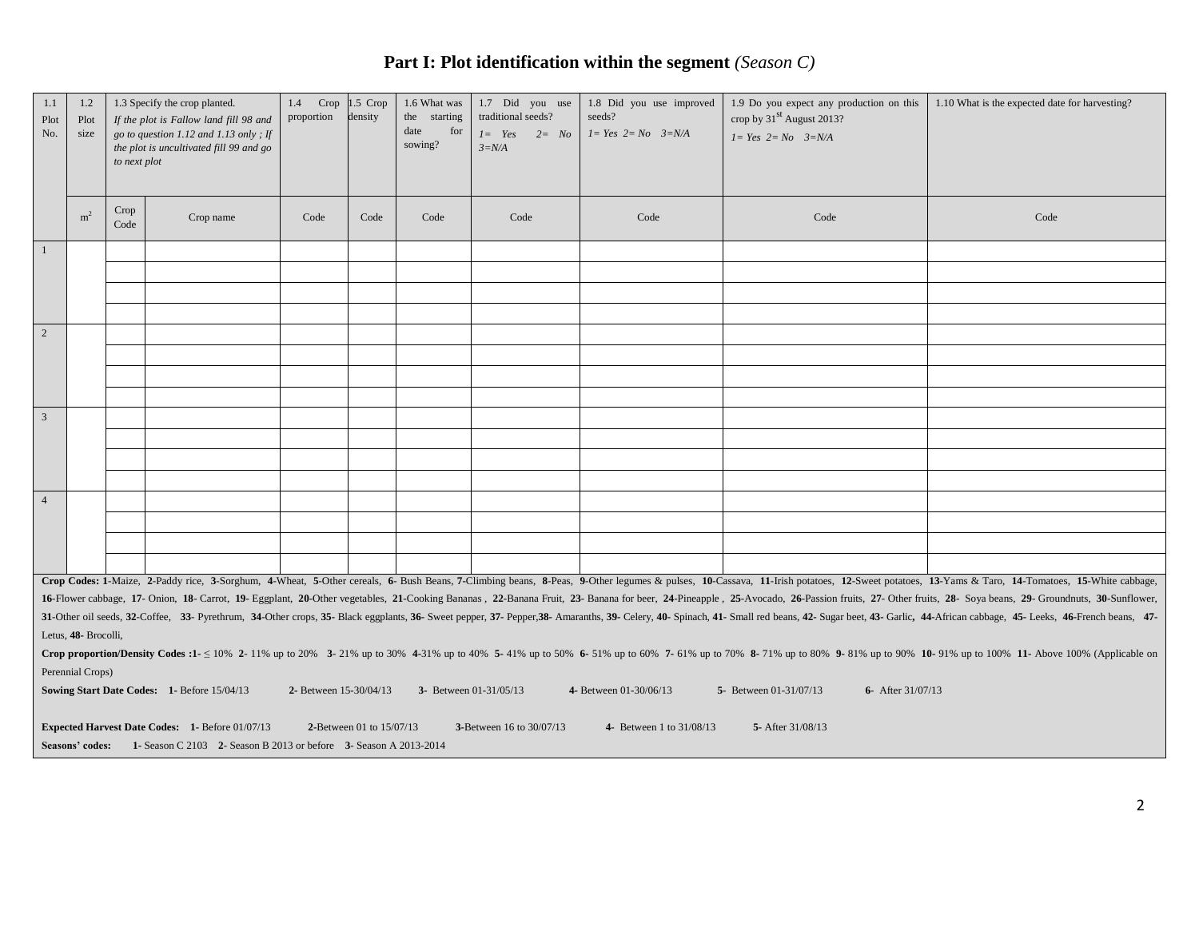# **Part I: Plot identification within the segment** *(Season C)*

| 1.1<br>Plot<br>No. | 1.2<br>Plot<br>size                                                                                                                                                                                                                                                                                                                                                                                                                                                                                                                                                                                                                                                                               | to next plot | 1.3 Specify the crop planted.<br>If the plot is Fallow land fill 98 and<br>go to question 1.12 and 1.13 only; If<br>the plot is uncultivated fill 99 and go | 1.4 Crop 1.5 Crop<br>proportion | density | 1.6 What was<br>the starting<br>date<br>for<br>sowing? | 1.7 Did you use<br>traditional seeds?<br>$1 = Yes$ $2 = No$<br>$3=N/A$ | 1.8 Did you use improved<br>seeds?<br>$1 = Yes$ $2 = No$ $3=N/A$ | 1.9 Do you expect any production on this<br>crop by 31 <sup>st</sup> August 2013?<br>$1 = Yes$ $2 = No$ $3=N/A$ | 1.10 What is the expected date for harvesting?                                                                                                                                                                                 |
|--------------------|---------------------------------------------------------------------------------------------------------------------------------------------------------------------------------------------------------------------------------------------------------------------------------------------------------------------------------------------------------------------------------------------------------------------------------------------------------------------------------------------------------------------------------------------------------------------------------------------------------------------------------------------------------------------------------------------------|--------------|-------------------------------------------------------------------------------------------------------------------------------------------------------------|---------------------------------|---------|--------------------------------------------------------|------------------------------------------------------------------------|------------------------------------------------------------------|-----------------------------------------------------------------------------------------------------------------|--------------------------------------------------------------------------------------------------------------------------------------------------------------------------------------------------------------------------------|
|                    | m <sup>2</sup>                                                                                                                                                                                                                                                                                                                                                                                                                                                                                                                                                                                                                                                                                    | Crop<br>Code | Crop name                                                                                                                                                   | Code                            | Code    | Code                                                   | Code                                                                   | Code                                                             | Code                                                                                                            | Code                                                                                                                                                                                                                           |
| $\mathbf{1}$       |                                                                                                                                                                                                                                                                                                                                                                                                                                                                                                                                                                                                                                                                                                   |              |                                                                                                                                                             |                                 |         |                                                        |                                                                        |                                                                  |                                                                                                                 |                                                                                                                                                                                                                                |
|                    |                                                                                                                                                                                                                                                                                                                                                                                                                                                                                                                                                                                                                                                                                                   |              |                                                                                                                                                             |                                 |         |                                                        |                                                                        |                                                                  |                                                                                                                 |                                                                                                                                                                                                                                |
|                    |                                                                                                                                                                                                                                                                                                                                                                                                                                                                                                                                                                                                                                                                                                   |              |                                                                                                                                                             |                                 |         |                                                        |                                                                        |                                                                  |                                                                                                                 |                                                                                                                                                                                                                                |
|                    |                                                                                                                                                                                                                                                                                                                                                                                                                                                                                                                                                                                                                                                                                                   |              |                                                                                                                                                             |                                 |         |                                                        |                                                                        |                                                                  |                                                                                                                 |                                                                                                                                                                                                                                |
| 2                  |                                                                                                                                                                                                                                                                                                                                                                                                                                                                                                                                                                                                                                                                                                   |              |                                                                                                                                                             |                                 |         |                                                        |                                                                        |                                                                  |                                                                                                                 |                                                                                                                                                                                                                                |
|                    |                                                                                                                                                                                                                                                                                                                                                                                                                                                                                                                                                                                                                                                                                                   |              |                                                                                                                                                             |                                 |         |                                                        |                                                                        |                                                                  |                                                                                                                 |                                                                                                                                                                                                                                |
|                    |                                                                                                                                                                                                                                                                                                                                                                                                                                                                                                                                                                                                                                                                                                   |              |                                                                                                                                                             |                                 |         |                                                        |                                                                        |                                                                  |                                                                                                                 |                                                                                                                                                                                                                                |
|                    |                                                                                                                                                                                                                                                                                                                                                                                                                                                                                                                                                                                                                                                                                                   |              |                                                                                                                                                             |                                 |         |                                                        |                                                                        |                                                                  |                                                                                                                 |                                                                                                                                                                                                                                |
| $\mathfrak{Z}$     |                                                                                                                                                                                                                                                                                                                                                                                                                                                                                                                                                                                                                                                                                                   |              |                                                                                                                                                             |                                 |         |                                                        |                                                                        |                                                                  |                                                                                                                 |                                                                                                                                                                                                                                |
|                    |                                                                                                                                                                                                                                                                                                                                                                                                                                                                                                                                                                                                                                                                                                   |              |                                                                                                                                                             |                                 |         |                                                        |                                                                        |                                                                  |                                                                                                                 |                                                                                                                                                                                                                                |
|                    |                                                                                                                                                                                                                                                                                                                                                                                                                                                                                                                                                                                                                                                                                                   |              |                                                                                                                                                             |                                 |         |                                                        |                                                                        |                                                                  |                                                                                                                 |                                                                                                                                                                                                                                |
|                    |                                                                                                                                                                                                                                                                                                                                                                                                                                                                                                                                                                                                                                                                                                   |              |                                                                                                                                                             |                                 |         |                                                        |                                                                        |                                                                  |                                                                                                                 |                                                                                                                                                                                                                                |
| $\overline{4}$     |                                                                                                                                                                                                                                                                                                                                                                                                                                                                                                                                                                                                                                                                                                   |              |                                                                                                                                                             |                                 |         |                                                        |                                                                        |                                                                  |                                                                                                                 |                                                                                                                                                                                                                                |
|                    |                                                                                                                                                                                                                                                                                                                                                                                                                                                                                                                                                                                                                                                                                                   |              |                                                                                                                                                             |                                 |         |                                                        |                                                                        |                                                                  |                                                                                                                 |                                                                                                                                                                                                                                |
|                    |                                                                                                                                                                                                                                                                                                                                                                                                                                                                                                                                                                                                                                                                                                   |              |                                                                                                                                                             |                                 |         |                                                        |                                                                        |                                                                  |                                                                                                                 |                                                                                                                                                                                                                                |
|                    |                                                                                                                                                                                                                                                                                                                                                                                                                                                                                                                                                                                                                                                                                                   |              |                                                                                                                                                             |                                 |         |                                                        |                                                                        |                                                                  |                                                                                                                 |                                                                                                                                                                                                                                |
|                    | Crop Codes: 1-Maize, 2-Paddy rice, 3-Sorghum, 4-Wheat, 5-Other cereals, 6- Bush Beans, 7-Climbing beans, 8-Peas, 9-Other legumes & pulses, 10-Cassava, 11-Irish potatoes, 12-Sweet potatoes, 13-Yams & Taro, 14-Tomatoes, 15-W<br>16-Flower cabbage, 17- Onion, 18- Carrot, 19- Eggplant, 20-Other vegetables, 21-Cooking Bananas, 22-Banana Fruit, 23- Banana for beer, 24-Pineapple, 25-Avocado, 26-Passion fruits, 27- Other fruits, 28- Soya beans, 29- Grou<br>31-Other oil seeds, 32-Coffee, 33- Pyrethrum, 34-Other crops, 35- Black eggplants, 36- Sweet pepper, 37- Pepper, 38- Amaranths, 39- Celery, 40- Spinach, 41- Small red beans, 42- Sugar beet, 43- Garlic, 44-African cabbage, |              |                                                                                                                                                             |                                 |         |                                                        |                                                                        |                                                                  |                                                                                                                 |                                                                                                                                                                                                                                |
|                    | Letus, 48- Brocolli,                                                                                                                                                                                                                                                                                                                                                                                                                                                                                                                                                                                                                                                                              |              |                                                                                                                                                             |                                 |         |                                                        |                                                                        |                                                                  |                                                                                                                 |                                                                                                                                                                                                                                |
|                    | Perennial Crops)                                                                                                                                                                                                                                                                                                                                                                                                                                                                                                                                                                                                                                                                                  |              |                                                                                                                                                             |                                 |         |                                                        |                                                                        |                                                                  |                                                                                                                 | Crop proportion/Density Codes :1- $\leq 10\%$ 2- 11% up to 20% 3-21% up to 30% 4-31% up to 40% 5-41% up to 50% 6-51% up to 60% 7-61% up to 70% 8-71% up to 80% 9-81% up to 90% 10-91% up to 100% 11- Above 100% (Applicable on |
|                    |                                                                                                                                                                                                                                                                                                                                                                                                                                                                                                                                                                                                                                                                                                   |              | Sowing Start Date Codes: 1- Before 15/04/13                                                                                                                 | 2- Between 15-30/04/13          |         | 3- Between 01-31/05/13                                 |                                                                        | 4- Between 01-30/06/13                                           | 5- Between 01-31/07/13<br>6- After $31/07/13$                                                                   |                                                                                                                                                                                                                                |
|                    | <b>Expected Harvest Date Codes: 1- Before 01/07/13</b><br>2-Between 01 to 15/07/13<br>3-Between 16 to 30/07/13<br>4- Between 1 to 31/08/13<br>5- After 31/08/13                                                                                                                                                                                                                                                                                                                                                                                                                                                                                                                                   |              |                                                                                                                                                             |                                 |         |                                                        |                                                                        |                                                                  |                                                                                                                 |                                                                                                                                                                                                                                |
|                    |                                                                                                                                                                                                                                                                                                                                                                                                                                                                                                                                                                                                                                                                                                   |              | Seasons' codes: 1- Season C 2103 2- Season B 2013 or before 3- Season A 2013-2014                                                                           |                                 |         |                                                        |                                                                        |                                                                  |                                                                                                                 |                                                                                                                                                                                                                                |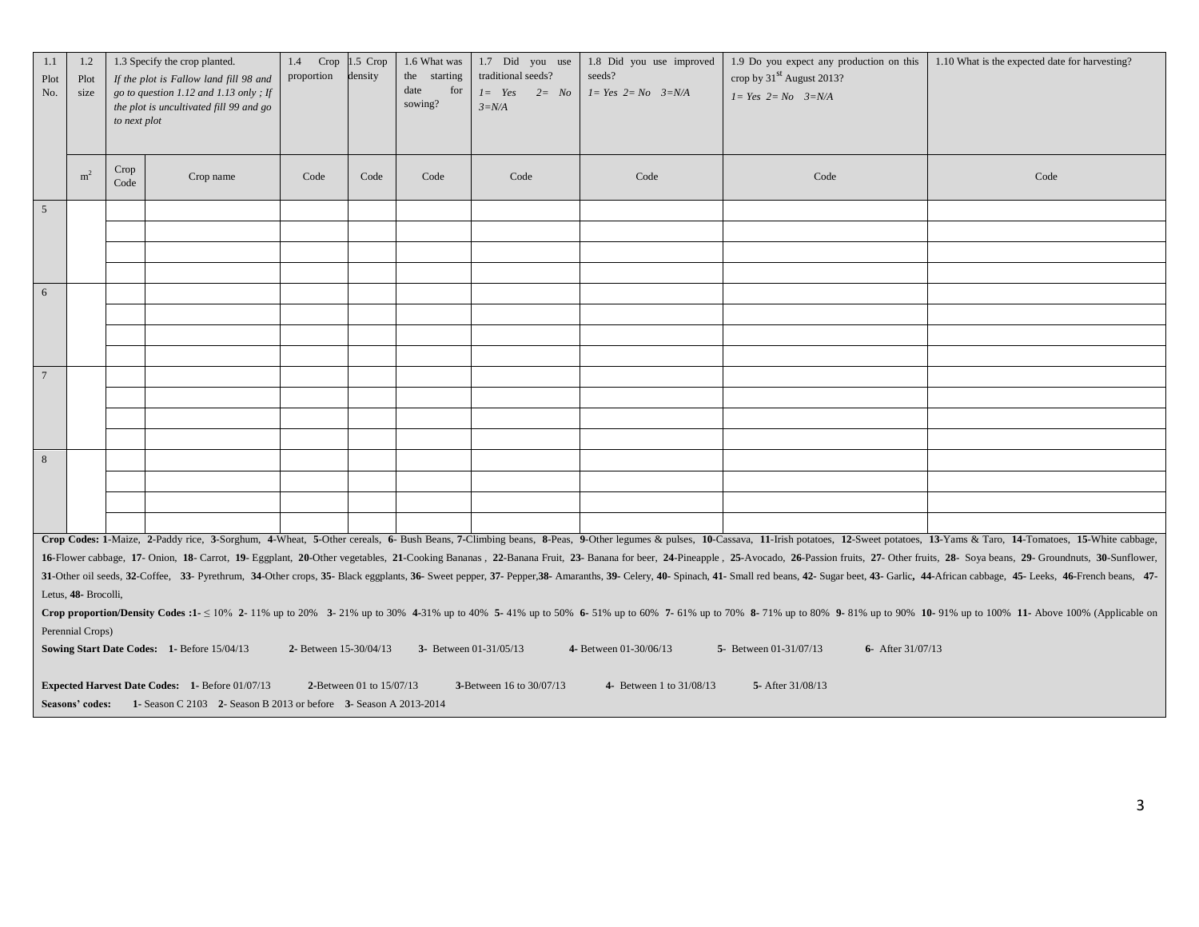| 1.1<br>Plot<br>No. | 1.2<br>Plot<br>size                                                                                                                                             | to next plot | 1.3 Specify the crop planted.<br>If the plot is Fallow land fill 98 and<br>go to question 1.12 and 1.13 only; If<br>the plot is uncultivated fill 99 and go | 1.4<br>proportion      | $Crop$ 1.5 $Crop$<br>density | 1.6 What was<br>the starting<br>date<br>for<br>sowing? | 1.7 Did you use<br>traditional seeds?<br>$I = Yes$ $2 = No$<br>$3=N/A$ | 1.8 Did you use improved<br>seeds?<br>$1 = Yes$ $2 = No$ $3=N/A$ | 1.9 Do you expect any production on this<br>crop by 31 <sup>st</sup> August 2013?<br>$1 = Yes$ $2 = No$ $3=N/A$ | 1.10 What is the expected date for harvesting?                                                                                                                                                                                 |
|--------------------|-----------------------------------------------------------------------------------------------------------------------------------------------------------------|--------------|-------------------------------------------------------------------------------------------------------------------------------------------------------------|------------------------|------------------------------|--------------------------------------------------------|------------------------------------------------------------------------|------------------------------------------------------------------|-----------------------------------------------------------------------------------------------------------------|--------------------------------------------------------------------------------------------------------------------------------------------------------------------------------------------------------------------------------|
|                    | m <sup>2</sup>                                                                                                                                                  | Crop<br>Code | Crop name                                                                                                                                                   | Code                   | Code                         | Code                                                   | Code                                                                   | Code                                                             | Code                                                                                                            | Code                                                                                                                                                                                                                           |
| 5                  |                                                                                                                                                                 |              |                                                                                                                                                             |                        |                              |                                                        |                                                                        |                                                                  |                                                                                                                 |                                                                                                                                                                                                                                |
|                    |                                                                                                                                                                 |              |                                                                                                                                                             |                        |                              |                                                        |                                                                        |                                                                  |                                                                                                                 |                                                                                                                                                                                                                                |
|                    |                                                                                                                                                                 |              |                                                                                                                                                             |                        |                              |                                                        |                                                                        |                                                                  |                                                                                                                 |                                                                                                                                                                                                                                |
|                    |                                                                                                                                                                 |              |                                                                                                                                                             |                        |                              |                                                        |                                                                        |                                                                  |                                                                                                                 |                                                                                                                                                                                                                                |
| 6                  |                                                                                                                                                                 |              |                                                                                                                                                             |                        |                              |                                                        |                                                                        |                                                                  |                                                                                                                 |                                                                                                                                                                                                                                |
|                    |                                                                                                                                                                 |              |                                                                                                                                                             |                        |                              |                                                        |                                                                        |                                                                  |                                                                                                                 |                                                                                                                                                                                                                                |
|                    |                                                                                                                                                                 |              |                                                                                                                                                             |                        |                              |                                                        |                                                                        |                                                                  |                                                                                                                 |                                                                                                                                                                                                                                |
|                    |                                                                                                                                                                 |              |                                                                                                                                                             |                        |                              |                                                        |                                                                        |                                                                  |                                                                                                                 |                                                                                                                                                                                                                                |
| $\overline{7}$     |                                                                                                                                                                 |              |                                                                                                                                                             |                        |                              |                                                        |                                                                        |                                                                  |                                                                                                                 |                                                                                                                                                                                                                                |
|                    |                                                                                                                                                                 |              |                                                                                                                                                             |                        |                              |                                                        |                                                                        |                                                                  |                                                                                                                 |                                                                                                                                                                                                                                |
|                    |                                                                                                                                                                 |              |                                                                                                                                                             |                        |                              |                                                        |                                                                        |                                                                  |                                                                                                                 |                                                                                                                                                                                                                                |
|                    |                                                                                                                                                                 |              |                                                                                                                                                             |                        |                              |                                                        |                                                                        |                                                                  |                                                                                                                 |                                                                                                                                                                                                                                |
| 8                  |                                                                                                                                                                 |              |                                                                                                                                                             |                        |                              |                                                        |                                                                        |                                                                  |                                                                                                                 |                                                                                                                                                                                                                                |
|                    |                                                                                                                                                                 |              |                                                                                                                                                             |                        |                              |                                                        |                                                                        |                                                                  |                                                                                                                 |                                                                                                                                                                                                                                |
|                    |                                                                                                                                                                 |              |                                                                                                                                                             |                        |                              |                                                        |                                                                        |                                                                  |                                                                                                                 |                                                                                                                                                                                                                                |
|                    |                                                                                                                                                                 |              |                                                                                                                                                             |                        |                              |                                                        |                                                                        |                                                                  |                                                                                                                 |                                                                                                                                                                                                                                |
|                    |                                                                                                                                                                 |              |                                                                                                                                                             |                        |                              |                                                        |                                                                        |                                                                  |                                                                                                                 | Crop Codes: 1-Maize, 2-Paddy rice, 3-Sorghum, 4-Wheat, 5-Other cereals, 6- Bush Beans, 7-Climbing beans, 8-Peas, 9-Other legumes & pulses, 10-Cassava, 11-Irish potatoes, 12-Sweet potatoes, 13-Yams & Taro, 14-Tomatoes, 15-W |
|                    |                                                                                                                                                                 |              |                                                                                                                                                             |                        |                              |                                                        |                                                                        |                                                                  |                                                                                                                 | 16-Flower cabbage, 17- Onion, 18- Carrot, 19- Eggplant, 20-Other vegetables, 21-Cooking Bananas, 22-Banana Fruit, 23- Banana for beer, 24-Pineapple, 25-Avocado, 26-Passion fruits, 27- Other fruits, 28- Soya beans, 29- Grou |
|                    | Letus, 48- Brocolli,                                                                                                                                            |              |                                                                                                                                                             |                        |                              |                                                        |                                                                        |                                                                  |                                                                                                                 | 31-Other oil seeds, 32-Coffee, 33- Pyrethrum, 34-Other crops, 35- Black eggplants, 36- Sweet pepper, 37- Pepper, 38- Amaranths, 39- Celery, 40- Spinach, 41- Small red beans, 42- Sugar beet, 43- Garlic, 44-African cabbage,  |
|                    |                                                                                                                                                                 |              |                                                                                                                                                             |                        |                              |                                                        |                                                                        |                                                                  |                                                                                                                 | Crop proportion/Density Codes :1- $\leq 10\%$ 2-11% up to 20% 3-21% up to 30% 4-31% up to 40% 5-41% up to 50% 6-51% up to 60% 7-61% up to 70% 8-71% up to 80% 9-81% up to 90% 10-91% up to 100% 11- Above 100% (Applicable on  |
|                    | Perennial Crops)                                                                                                                                                |              |                                                                                                                                                             |                        |                              |                                                        |                                                                        |                                                                  |                                                                                                                 |                                                                                                                                                                                                                                |
|                    |                                                                                                                                                                 |              | Sowing Start Date Codes: 1- Before 15/04/13                                                                                                                 | 2- Between 15-30/04/13 |                              | 3- Between 01-31/05/13                                 |                                                                        | 4- Between 01-30/06/13                                           | 5- Between 01-31/07/13<br>6- After 31/07/13                                                                     |                                                                                                                                                                                                                                |
|                    | <b>Expected Harvest Date Codes: 1- Before 01/07/13</b><br>2-Between 01 to 15/07/13<br>3-Between 16 to 30/07/13<br>4- Between 1 to 31/08/13<br>5- After 31/08/13 |              |                                                                                                                                                             |                        |                              |                                                        |                                                                        |                                                                  |                                                                                                                 |                                                                                                                                                                                                                                |
|                    |                                                                                                                                                                 |              | Seasons' codes: 1- Season C 2103 2- Season B 2013 or before 3- Season A 2013-2014                                                                           |                        |                              |                                                        |                                                                        |                                                                  |                                                                                                                 |                                                                                                                                                                                                                                |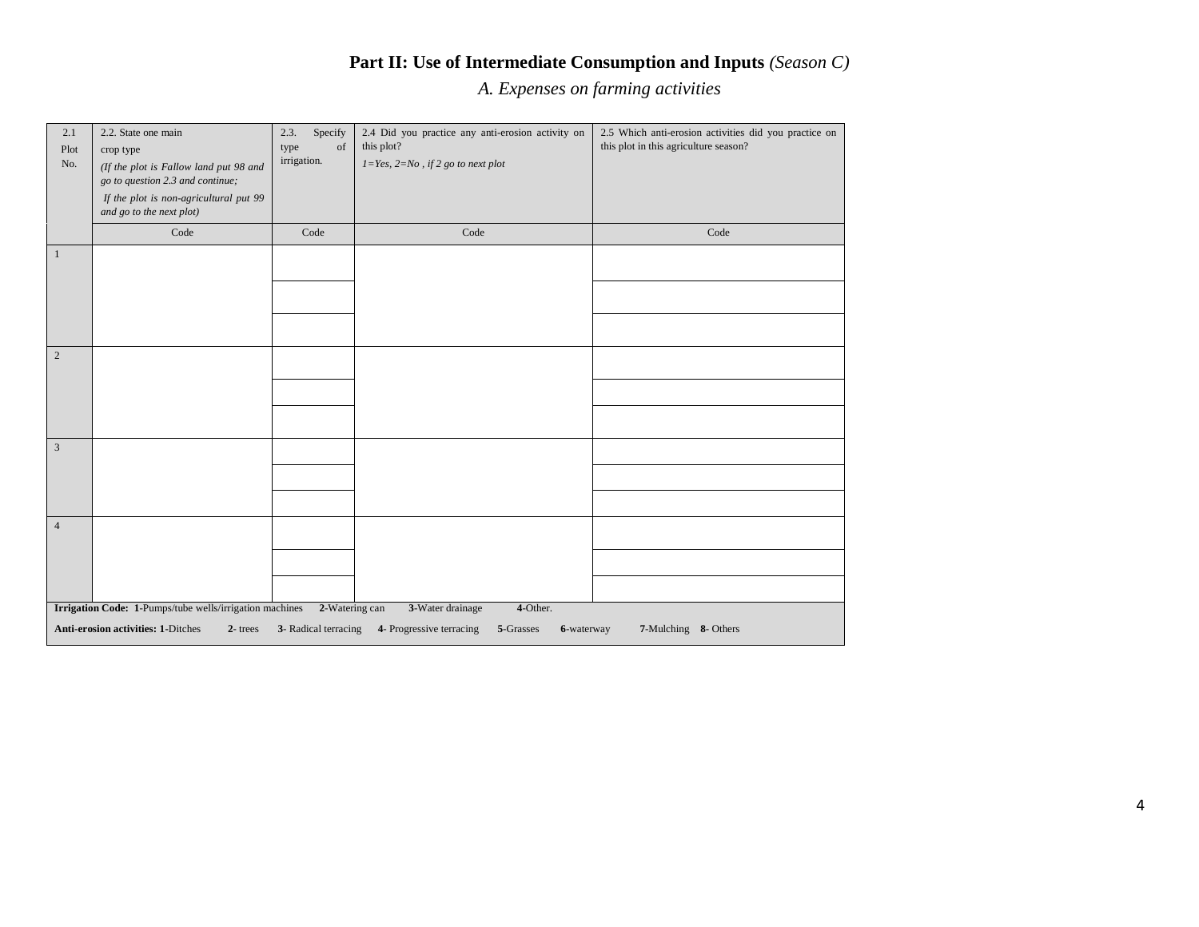# **Part II: Use of Intermediate Consumption and Inputs** *(Season C)*

*A. Expenses on farming activities*

| 2.1<br>Plot<br>No. | 2.2. State one main<br>crop type<br>(If the plot is Fallow land put 98 and<br>go to question 2.3 and continue;<br>If the plot is non-agricultural put 99<br>and go to the next plot) | Specify<br>2.3.<br>type<br>of<br>irrigation. | 2.4 Did you practice any anti-erosion activity on<br>this plot?<br>$1 = Yes, 2 = No, if 2 go to next plot$ | 2.5 Which anti-erosion activities did you practice on<br>this plot in this agriculture season? |
|--------------------|--------------------------------------------------------------------------------------------------------------------------------------------------------------------------------------|----------------------------------------------|------------------------------------------------------------------------------------------------------------|------------------------------------------------------------------------------------------------|
|                    | Code                                                                                                                                                                                 | Code                                         | Code                                                                                                       | Code                                                                                           |
| $\mathbf{1}$       |                                                                                                                                                                                      |                                              |                                                                                                            |                                                                                                |
| $\overline{c}$     |                                                                                                                                                                                      |                                              |                                                                                                            |                                                                                                |
| 3                  |                                                                                                                                                                                      |                                              |                                                                                                            |                                                                                                |
| $\sqrt{4}$         |                                                                                                                                                                                      |                                              |                                                                                                            |                                                                                                |
|                    | Irrigation Code: 1-Pumps/tube wells/irrigation machines                                                                                                                              | 2-Watering can                               | 4-Other.<br>3-Water drainage                                                                               |                                                                                                |
|                    | <b>Anti-erosion activities: 1-Ditches</b><br>$2$ -trees                                                                                                                              | 3- Radical terracing                         | 4- Progressive terracing<br>5-Grasses<br>6-waterway                                                        | 7-Mulching 8- Others                                                                           |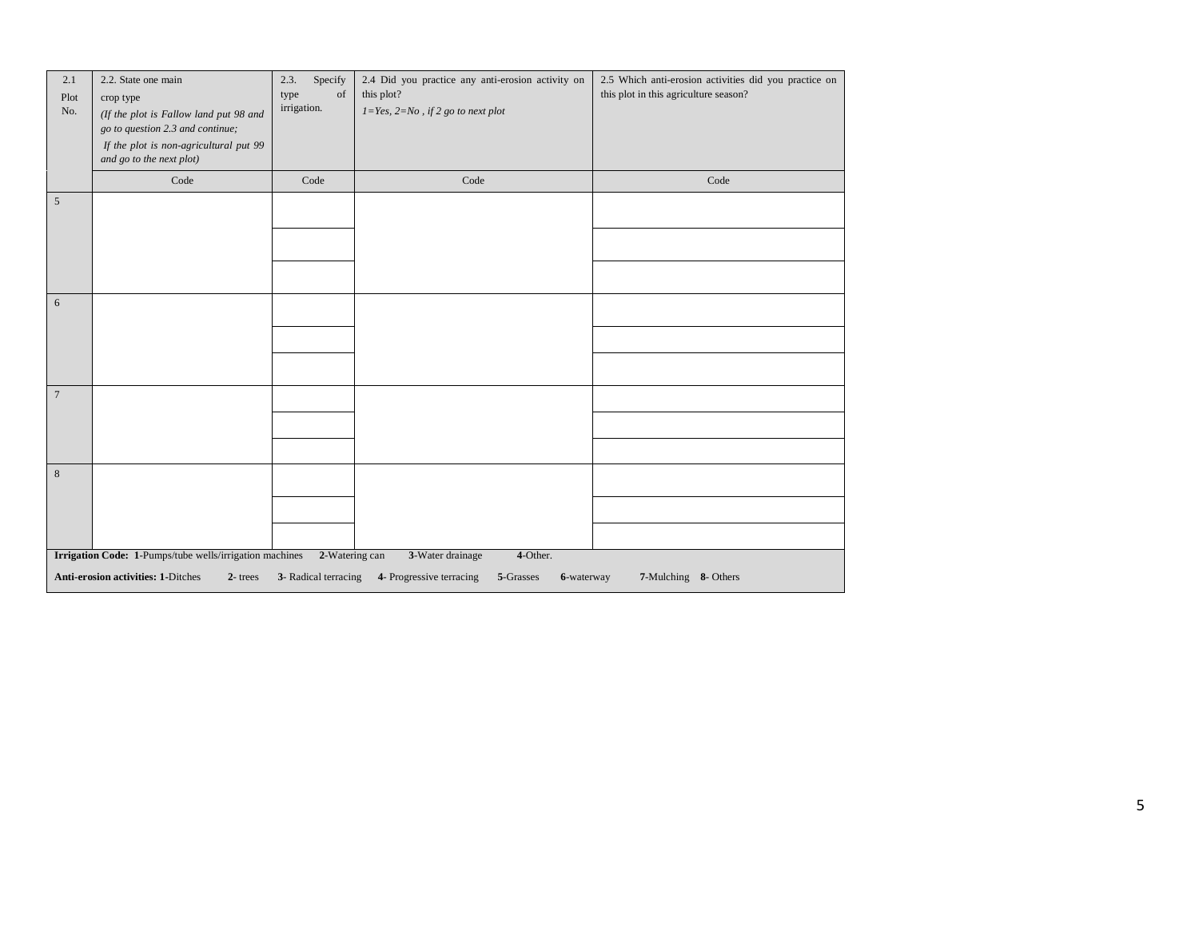| 2.1<br>Plot<br>No. | 2.2. State one main<br>crop type<br>(If the plot is Fallow land put 98 and<br>go to question 2.3 and continue;<br>If the plot is non-agricultural put 99<br>and go to the next plot) | Specify<br>2.3.<br>type<br>of<br>irrigation. | 2.4 Did you practice any anti-erosion activity on<br>this plot?<br>$1 = Yes, 2 = No, if 2 go to next plot$ | 2.5 Which anti-erosion activities did you practice on<br>this plot in this agriculture season? |
|--------------------|--------------------------------------------------------------------------------------------------------------------------------------------------------------------------------------|----------------------------------------------|------------------------------------------------------------------------------------------------------------|------------------------------------------------------------------------------------------------|
|                    | Code                                                                                                                                                                                 | Code                                         | Code                                                                                                       | Code                                                                                           |
| $\sqrt{5}$         |                                                                                                                                                                                      |                                              |                                                                                                            |                                                                                                |
|                    |                                                                                                                                                                                      |                                              |                                                                                                            |                                                                                                |
| 6                  |                                                                                                                                                                                      |                                              |                                                                                                            |                                                                                                |
|                    |                                                                                                                                                                                      |                                              |                                                                                                            |                                                                                                |
| $\overline{7}$     |                                                                                                                                                                                      |                                              |                                                                                                            |                                                                                                |
|                    |                                                                                                                                                                                      |                                              |                                                                                                            |                                                                                                |
| $\,8\,$            |                                                                                                                                                                                      |                                              |                                                                                                            |                                                                                                |
|                    | Irrigation Code: 1-Pumps/tube wells/irrigation machines                                                                                                                              | 2-Watering can                               | 4-Other.                                                                                                   |                                                                                                |
|                    | <b>Anti-erosion activities: 1-Ditches</b><br>$2$ -trees                                                                                                                              | 3- Radical terracing                         | 3-Water drainage<br>4- Progressive terracing<br>5-Grasses<br>6-waterway                                    | 7-Mulching 8- Others                                                                           |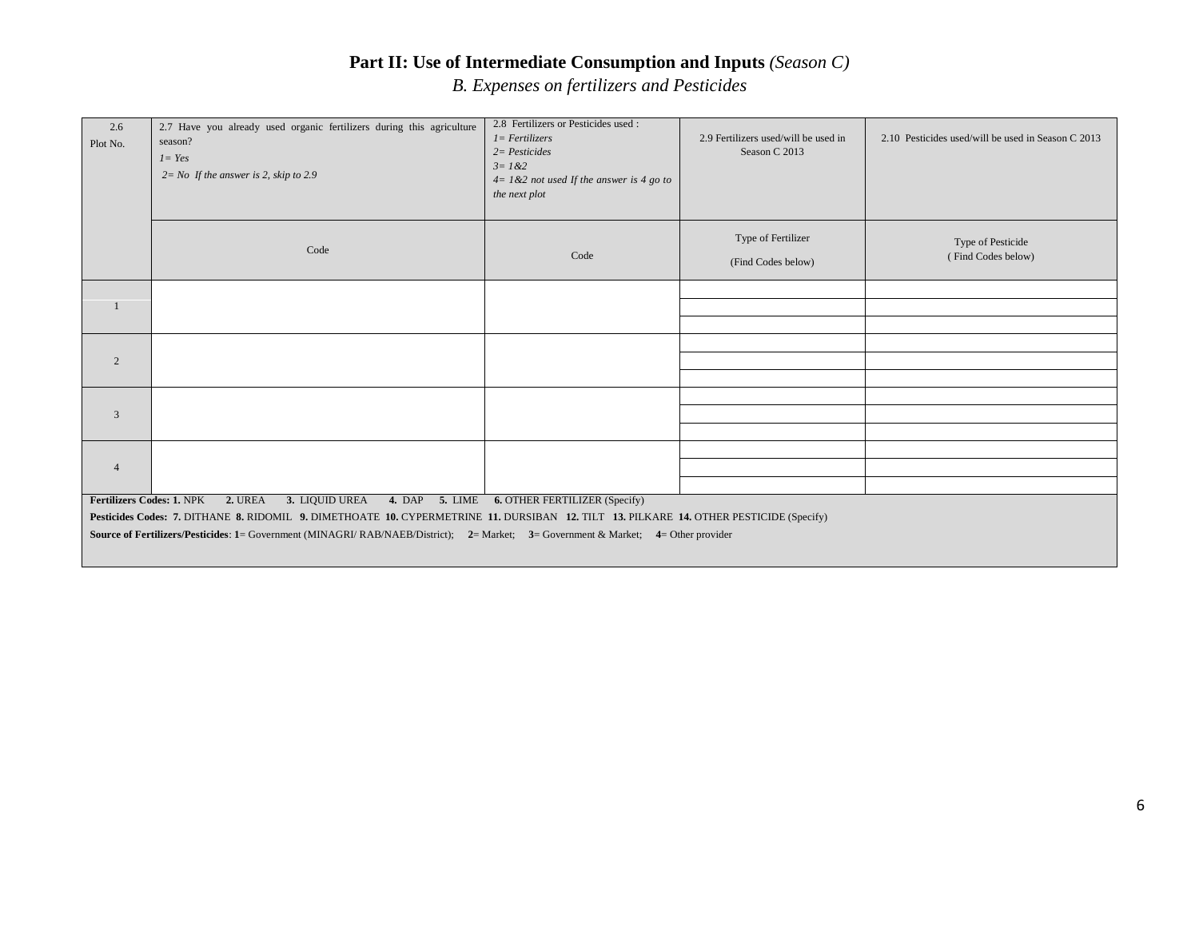# **Part II: Use of Intermediate Consumption and Inputs** *(Season C)*

*B. Expenses on fertilizers and Pesticides*

| 2.6<br>Plot No. | 2.7 Have you already used organic fertilizers during this agriculture<br>season?<br>$I = Yes$<br>$2 = No$ If the answer is 2, skip to 2.9 | 2.8 Fertilizers or Pesticides used :<br>$1 = Fertilizers$<br>$2 = Pesticides$<br>$3 = 1 & 2$<br>$4 = 1 & 2$ not used If the answer is 4 go to<br>the next plot | 2.9 Fertilizers used/will be used in<br>Season C 2013 | 2.10 Pesticides used/will be used in Season C 2013 |
|-----------------|-------------------------------------------------------------------------------------------------------------------------------------------|----------------------------------------------------------------------------------------------------------------------------------------------------------------|-------------------------------------------------------|----------------------------------------------------|
|                 | Code                                                                                                                                      | Code                                                                                                                                                           | Type of Fertilizer<br>(Find Codes below)              | Type of Pesticide<br>(Find Codes below)            |
|                 |                                                                                                                                           |                                                                                                                                                                |                                                       |                                                    |
|                 |                                                                                                                                           |                                                                                                                                                                |                                                       |                                                    |
|                 |                                                                                                                                           |                                                                                                                                                                |                                                       |                                                    |
| 2               |                                                                                                                                           |                                                                                                                                                                |                                                       |                                                    |
|                 |                                                                                                                                           |                                                                                                                                                                |                                                       |                                                    |
| 3               |                                                                                                                                           |                                                                                                                                                                |                                                       |                                                    |
|                 |                                                                                                                                           |                                                                                                                                                                |                                                       |                                                    |
|                 |                                                                                                                                           |                                                                                                                                                                |                                                       |                                                    |
| $\overline{4}$  |                                                                                                                                           |                                                                                                                                                                |                                                       |                                                    |
|                 |                                                                                                                                           |                                                                                                                                                                |                                                       |                                                    |
|                 | Fertilizers Codes: 1. NPK 2. UREA<br>3. LIQUID UREA                                                                                       | 4. DAP 5. LIME 6. OTHER FERTILIZER (Specify)                                                                                                                   |                                                       |                                                    |
|                 | Pesticides Codes: 7. DITHANE 8. RIDOMIL 9. DIMETHOATE 10. CYPERMETRINE 11. DURSIBAN 12. TILT 13. PILKARE 14. OTHER PESTICIDE (Specify)    |                                                                                                                                                                |                                                       |                                                    |
|                 | Source of Fertilizers/Pesticides: 1= Government (MINAGRI/ RAB/NAEB/District); 2= Market; 3= Government & Market; 4= Other provider        |                                                                                                                                                                |                                                       |                                                    |
|                 |                                                                                                                                           |                                                                                                                                                                |                                                       |                                                    |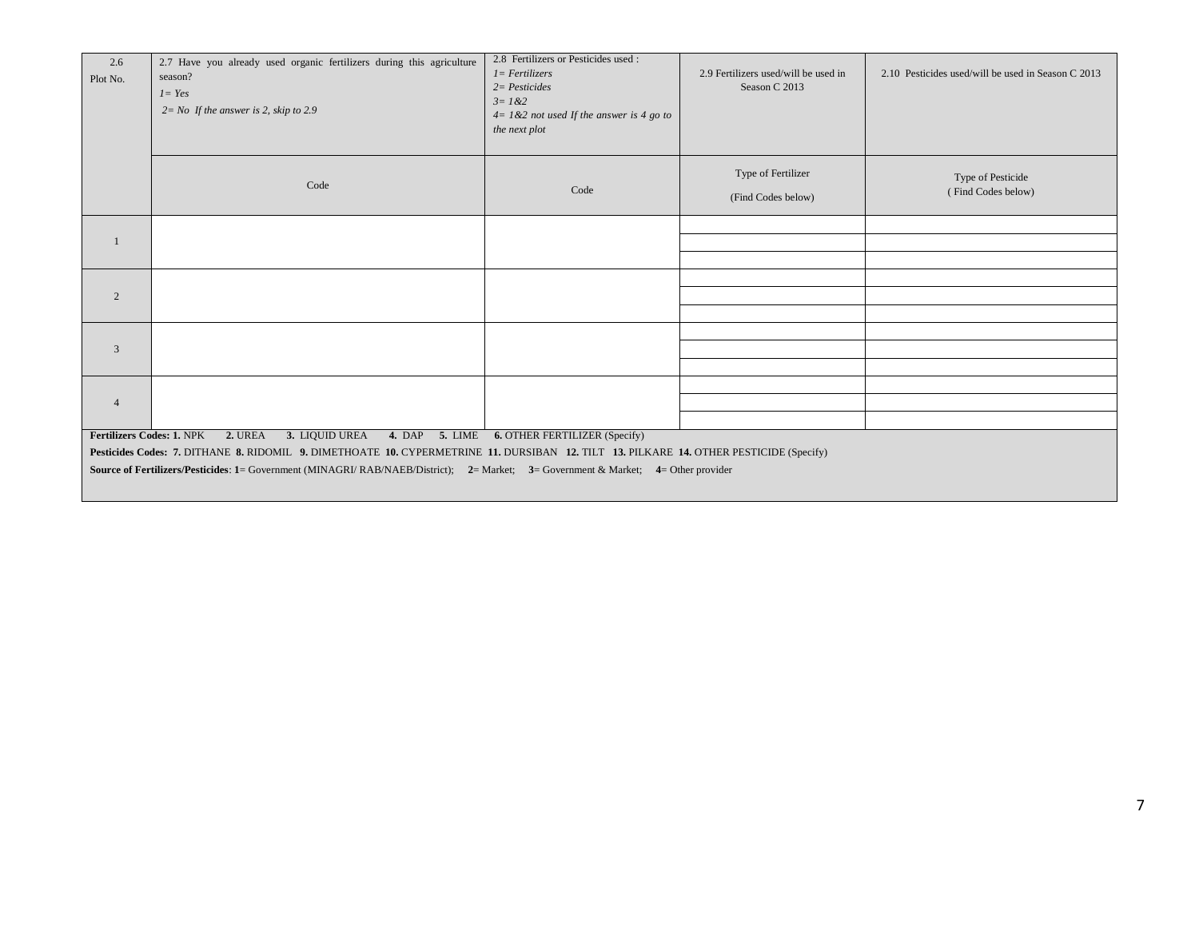| 2.6<br>Plot No.           | 2.7 Have you already used organic fertilizers during this agriculture<br>season?<br>$1 = Yes$<br>$2 = No$ If the answer is 2, skip to 2.9 | 2.8 Fertilizers or Pesticides used:<br>$1 = Fertilizers$<br>$2 =$ Pesticides<br>$3 = 1 & 2$<br>$4 = 1 & 2$ not used If the answer is 4 go to<br>the next plot | 2.9 Fertilizers used/will be used in<br>Season C 2013 | 2.10 Pesticides used/will be used in Season C 2013 |
|---------------------------|-------------------------------------------------------------------------------------------------------------------------------------------|---------------------------------------------------------------------------------------------------------------------------------------------------------------|-------------------------------------------------------|----------------------------------------------------|
|                           | Code                                                                                                                                      | Code                                                                                                                                                          | Type of Fertilizer<br>(Find Codes below)              | Type of Pesticide<br>(Find Codes below)            |
|                           |                                                                                                                                           |                                                                                                                                                               |                                                       |                                                    |
|                           |                                                                                                                                           |                                                                                                                                                               |                                                       |                                                    |
|                           |                                                                                                                                           |                                                                                                                                                               |                                                       |                                                    |
| 2                         |                                                                                                                                           |                                                                                                                                                               |                                                       |                                                    |
|                           |                                                                                                                                           |                                                                                                                                                               |                                                       |                                                    |
| 3                         |                                                                                                                                           |                                                                                                                                                               |                                                       |                                                    |
|                           |                                                                                                                                           |                                                                                                                                                               |                                                       |                                                    |
| $\overline{4}$            |                                                                                                                                           |                                                                                                                                                               |                                                       |                                                    |
|                           |                                                                                                                                           |                                                                                                                                                               |                                                       |                                                    |
| Fertilizers Codes: 1. NPK | 2. UREA<br>3. LIQUID UREA                                                                                                                 | 4. DAP 5. LIME 6. OTHER FERTILIZER (Specify)                                                                                                                  |                                                       |                                                    |
|                           | Pesticides Codes: 7. DITHANE 8. RIDOMIL 9. DIMETHOATE 10. CYPERMETRINE 11. DURSIBAN 12. TILT 13. PILKARE 14. OTHER PESTICIDE (Specify)    |                                                                                                                                                               |                                                       |                                                    |
|                           | Source of Fertilizers/Pesticides: 1= Government (MINAGRI/RAB/NAEB/District); 2= Market; 3= Government & Market; 4= Other provider         |                                                                                                                                                               |                                                       |                                                    |
|                           |                                                                                                                                           |                                                                                                                                                               |                                                       |                                                    |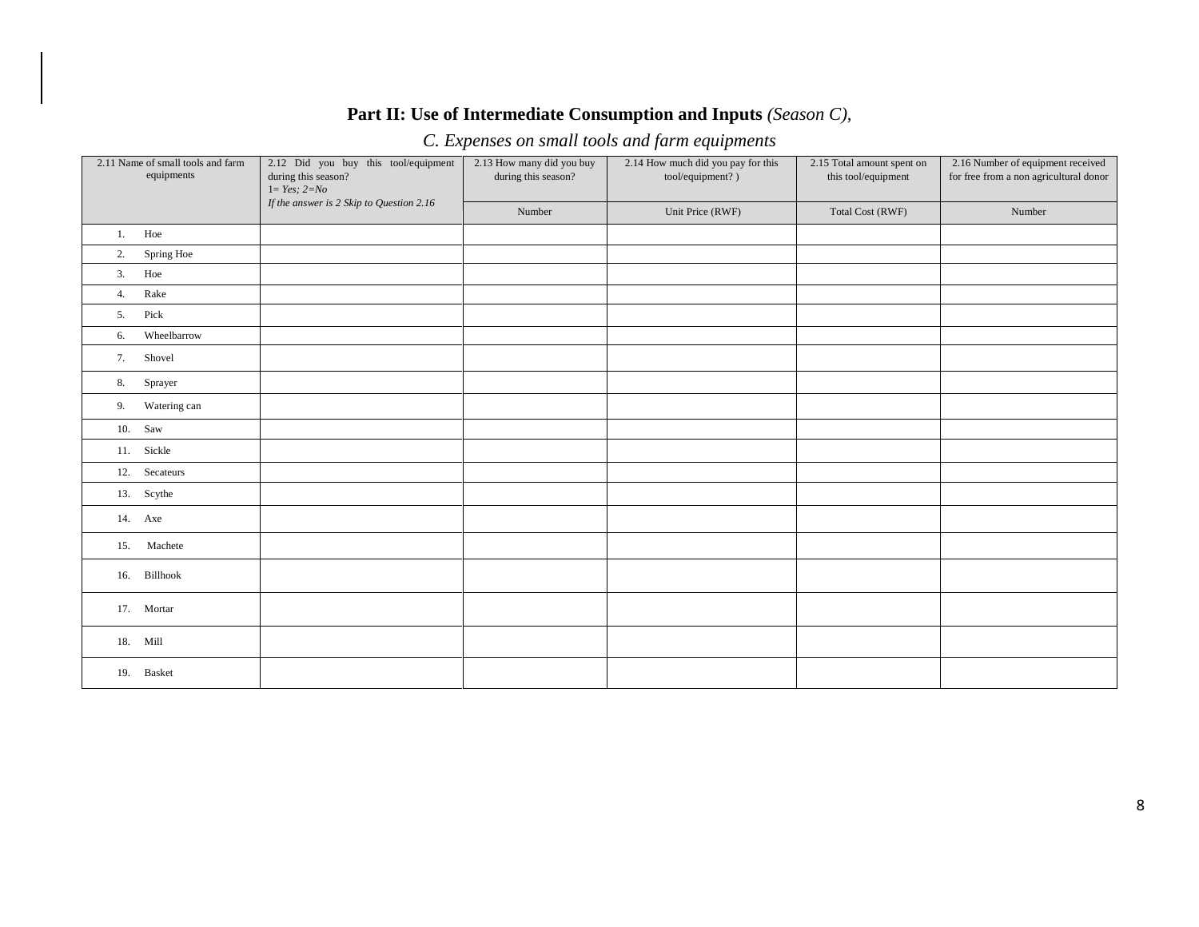#### **Part II: Use of Intermediate Consumption and Inputs** *(Season C),*

# *C. Expenses on small tools and farm equipments*

| 2.11 Name of small tools and farm<br>equipments | 2.12 Did you buy this tool/equipment<br>during this season? | 2.13 How many did you buy<br>during this season? | 2.14 How much did you pay for this<br>tool/equipment?) | 2.15 Total amount spent on<br>this tool/equipment | 2.16 Number of equipment received<br>for free from a non agricultural donor |  |
|-------------------------------------------------|-------------------------------------------------------------|--------------------------------------------------|--------------------------------------------------------|---------------------------------------------------|-----------------------------------------------------------------------------|--|
|                                                 | $1 = Yes; 2=No$                                             |                                                  |                                                        |                                                   |                                                                             |  |
|                                                 | If the answer is 2 Skip to Question 2.16                    | Number                                           | Unit Price (RWF)                                       | Total Cost (RWF)                                  | Number                                                                      |  |
| Hoe<br>1.                                       |                                                             |                                                  |                                                        |                                                   |                                                                             |  |
| Spring Hoe<br>2.                                |                                                             |                                                  |                                                        |                                                   |                                                                             |  |
| Hoe<br>3.                                       |                                                             |                                                  |                                                        |                                                   |                                                                             |  |
| Rake<br>4.                                      |                                                             |                                                  |                                                        |                                                   |                                                                             |  |
| Pick<br>5.                                      |                                                             |                                                  |                                                        |                                                   |                                                                             |  |
| Wheelbarrow<br>6.                               |                                                             |                                                  |                                                        |                                                   |                                                                             |  |
| Shovel<br>7.                                    |                                                             |                                                  |                                                        |                                                   |                                                                             |  |
| Sprayer<br>8.                                   |                                                             |                                                  |                                                        |                                                   |                                                                             |  |
| Watering can<br>9.                              |                                                             |                                                  |                                                        |                                                   |                                                                             |  |
| $10.$ Saw                                       |                                                             |                                                  |                                                        |                                                   |                                                                             |  |
| 11. Sickle                                      |                                                             |                                                  |                                                        |                                                   |                                                                             |  |
| 12. Secateurs                                   |                                                             |                                                  |                                                        |                                                   |                                                                             |  |
| 13. Scythe                                      |                                                             |                                                  |                                                        |                                                   |                                                                             |  |
| 14. Axe                                         |                                                             |                                                  |                                                        |                                                   |                                                                             |  |
| 15. Machete                                     |                                                             |                                                  |                                                        |                                                   |                                                                             |  |
| 16. Billhook                                    |                                                             |                                                  |                                                        |                                                   |                                                                             |  |
| 17. Mortar                                      |                                                             |                                                  |                                                        |                                                   |                                                                             |  |
| 18. Mill                                        |                                                             |                                                  |                                                        |                                                   |                                                                             |  |
| 19. Basket                                      |                                                             |                                                  |                                                        |                                                   |                                                                             |  |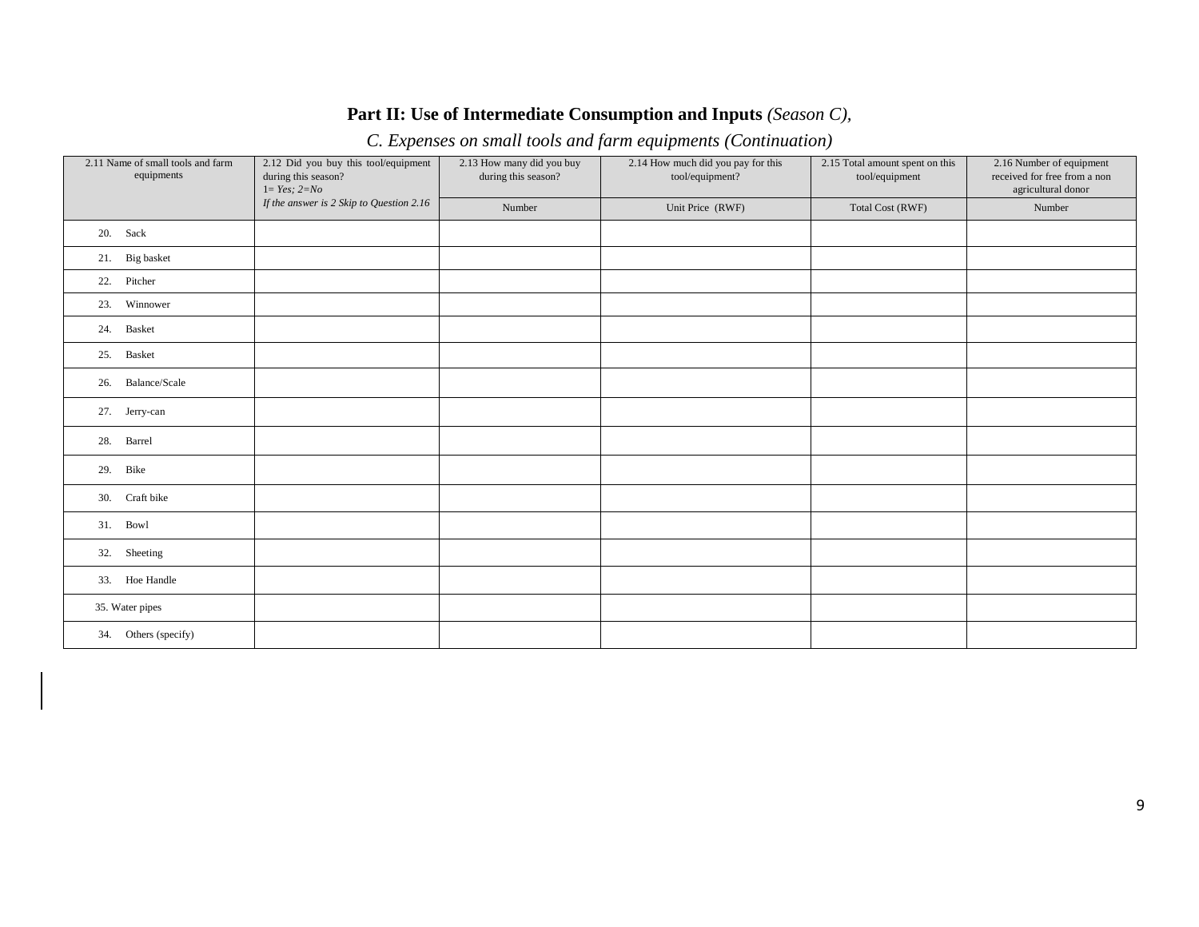#### **Part II: Use of Intermediate Consumption and Inputs** *(Season C),*

# *C. Expenses on small tools and farm equipments (Continuation)*

| 2.11 Name of small tools and farm<br>equipments | 2.12 Did you buy this tool/equipment<br>during this season?<br>$1 = Yes; 2 = No$ | 2.13 How many did you buy<br>during this season? | 2.14 How much did you pay for this<br>tool/equipment? | 2.15 Total amount spent on this<br>tool/equipment | 2.16 Number of equipment<br>received for free from a non<br>agricultural donor |
|-------------------------------------------------|----------------------------------------------------------------------------------|--------------------------------------------------|-------------------------------------------------------|---------------------------------------------------|--------------------------------------------------------------------------------|
|                                                 | If the answer is 2 Skip to Question 2.16                                         | Number                                           | Unit Price (RWF)                                      | Total Cost (RWF)                                  | Number                                                                         |
| 20. Sack                                        |                                                                                  |                                                  |                                                       |                                                   |                                                                                |
| 21. Big basket                                  |                                                                                  |                                                  |                                                       |                                                   |                                                                                |
| 22. Pitcher                                     |                                                                                  |                                                  |                                                       |                                                   |                                                                                |
| 23. Winnower                                    |                                                                                  |                                                  |                                                       |                                                   |                                                                                |
| 24. Basket                                      |                                                                                  |                                                  |                                                       |                                                   |                                                                                |
| Basket<br>25.                                   |                                                                                  |                                                  |                                                       |                                                   |                                                                                |
| 26. Balance/Scale                               |                                                                                  |                                                  |                                                       |                                                   |                                                                                |
| 27. Jerry-can                                   |                                                                                  |                                                  |                                                       |                                                   |                                                                                |
| Barrel<br>28.                                   |                                                                                  |                                                  |                                                       |                                                   |                                                                                |
| Bike<br>29.                                     |                                                                                  |                                                  |                                                       |                                                   |                                                                                |
| 30. Craft bike                                  |                                                                                  |                                                  |                                                       |                                                   |                                                                                |
| 31. Bowl                                        |                                                                                  |                                                  |                                                       |                                                   |                                                                                |
| 32. Sheeting                                    |                                                                                  |                                                  |                                                       |                                                   |                                                                                |
| 33. Hoe Handle                                  |                                                                                  |                                                  |                                                       |                                                   |                                                                                |
| 35. Water pipes                                 |                                                                                  |                                                  |                                                       |                                                   |                                                                                |
| 34. Others (specify)                            |                                                                                  |                                                  |                                                       |                                                   |                                                                                |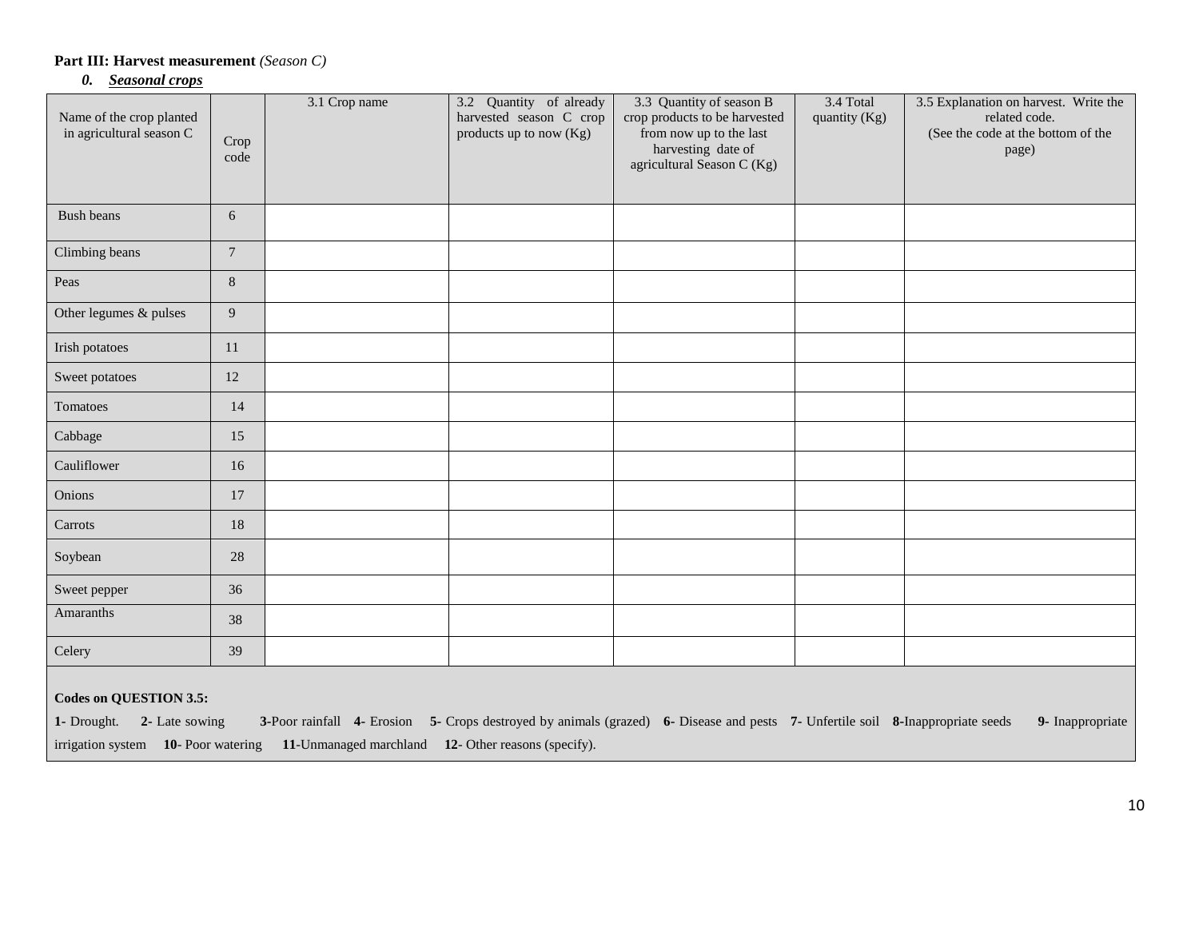#### **Part III: Harvest measurement** *(Season C)*

#### *0. Seasonal crops*

| Name of the crop planted<br>in agricultural season C                                                                                                                                                                                                                                                         | Crop<br>code    | 3.1 Crop name | 3.2 Quantity of already<br>harvested season C crop<br>products up to now (Kg) | 3.3 Quantity of season B<br>crop products to be harvested<br>from now up to the last<br>harvesting date of<br>agricultural Season C (Kg) | 3.4 Total<br>quantity (Kg) | 3.5 Explanation on harvest. Write the<br>related code.<br>(See the code at the bottom of the<br>page) |  |  |  |
|--------------------------------------------------------------------------------------------------------------------------------------------------------------------------------------------------------------------------------------------------------------------------------------------------------------|-----------------|---------------|-------------------------------------------------------------------------------|------------------------------------------------------------------------------------------------------------------------------------------|----------------------------|-------------------------------------------------------------------------------------------------------|--|--|--|
| <b>Bush beans</b>                                                                                                                                                                                                                                                                                            | 6               |               |                                                                               |                                                                                                                                          |                            |                                                                                                       |  |  |  |
| Climbing beans                                                                                                                                                                                                                                                                                               | $7\phantom{.0}$ |               |                                                                               |                                                                                                                                          |                            |                                                                                                       |  |  |  |
| Peas                                                                                                                                                                                                                                                                                                         | 8               |               |                                                                               |                                                                                                                                          |                            |                                                                                                       |  |  |  |
| Other legumes & pulses                                                                                                                                                                                                                                                                                       | 9               |               |                                                                               |                                                                                                                                          |                            |                                                                                                       |  |  |  |
| Irish potatoes                                                                                                                                                                                                                                                                                               | 11              |               |                                                                               |                                                                                                                                          |                            |                                                                                                       |  |  |  |
| Sweet potatoes                                                                                                                                                                                                                                                                                               | 12              |               |                                                                               |                                                                                                                                          |                            |                                                                                                       |  |  |  |
| Tomatoes                                                                                                                                                                                                                                                                                                     | 14              |               |                                                                               |                                                                                                                                          |                            |                                                                                                       |  |  |  |
| Cabbage                                                                                                                                                                                                                                                                                                      | 15              |               |                                                                               |                                                                                                                                          |                            |                                                                                                       |  |  |  |
| Cauliflower                                                                                                                                                                                                                                                                                                  | 16              |               |                                                                               |                                                                                                                                          |                            |                                                                                                       |  |  |  |
| Onions                                                                                                                                                                                                                                                                                                       | 17              |               |                                                                               |                                                                                                                                          |                            |                                                                                                       |  |  |  |
| Carrots                                                                                                                                                                                                                                                                                                      | 18              |               |                                                                               |                                                                                                                                          |                            |                                                                                                       |  |  |  |
| Soybean                                                                                                                                                                                                                                                                                                      | $28\,$          |               |                                                                               |                                                                                                                                          |                            |                                                                                                       |  |  |  |
| Sweet pepper                                                                                                                                                                                                                                                                                                 | 36              |               |                                                                               |                                                                                                                                          |                            |                                                                                                       |  |  |  |
| Amaranths                                                                                                                                                                                                                                                                                                    | 38              |               |                                                                               |                                                                                                                                          |                            |                                                                                                       |  |  |  |
| Celery                                                                                                                                                                                                                                                                                                       | 39              |               |                                                                               |                                                                                                                                          |                            |                                                                                                       |  |  |  |
| <b>Codes on QUESTION 3.5:</b><br>3-Poor rainfall 4- Erosion 5- Crops destroyed by animals (grazed) 6- Disease and pests 7- Unfertile soil 8-Inappropriate seeds<br>1- Drought. 2- Late sowing<br>9- Inappropriate<br>irrigation system 10- Poor watering 11-Unmanaged marchland 12- Other reasons (specify). |                 |               |                                                                               |                                                                                                                                          |                            |                                                                                                       |  |  |  |
|                                                                                                                                                                                                                                                                                                              |                 |               |                                                                               |                                                                                                                                          |                            |                                                                                                       |  |  |  |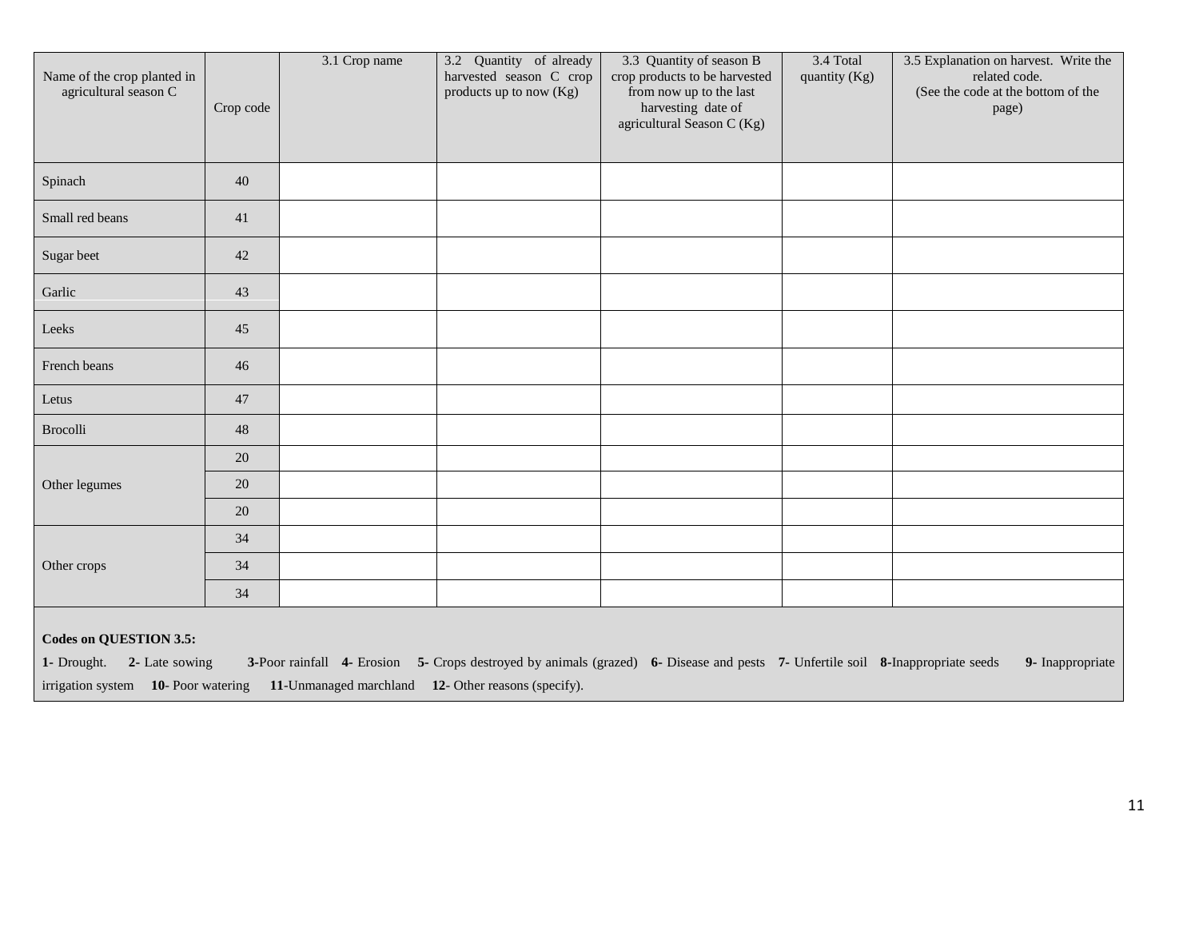| Name of the crop planted in<br>agricultural season C        | Crop code | 3.1 Crop name | 3.2 Quantity of already<br>harvested season C crop<br>products up to now $(Kg)$ | 3.3 Quantity of season B<br>crop products to be harvested<br>from now up to the last<br>harvesting date of<br>agricultural Season C (Kg) | 3.4 Total<br>quantity (Kg) | 3.5 Explanation on harvest. Write the<br>related code.<br>(See the code at the bottom of the<br>page) |
|-------------------------------------------------------------|-----------|---------------|---------------------------------------------------------------------------------|------------------------------------------------------------------------------------------------------------------------------------------|----------------------------|-------------------------------------------------------------------------------------------------------|
| Spinach                                                     | 40        |               |                                                                                 |                                                                                                                                          |                            |                                                                                                       |
| Small red beans                                             | 41        |               |                                                                                 |                                                                                                                                          |                            |                                                                                                       |
| Sugar beet                                                  | 42        |               |                                                                                 |                                                                                                                                          |                            |                                                                                                       |
| Garlic                                                      | 43        |               |                                                                                 |                                                                                                                                          |                            |                                                                                                       |
| Leeks                                                       | 45        |               |                                                                                 |                                                                                                                                          |                            |                                                                                                       |
| French beans                                                | 46        |               |                                                                                 |                                                                                                                                          |                            |                                                                                                       |
| Letus                                                       | 47        |               |                                                                                 |                                                                                                                                          |                            |                                                                                                       |
| Brocolli                                                    | 48        |               |                                                                                 |                                                                                                                                          |                            |                                                                                                       |
|                                                             | 20        |               |                                                                                 |                                                                                                                                          |                            |                                                                                                       |
| Other legumes                                               | 20        |               |                                                                                 |                                                                                                                                          |                            |                                                                                                       |
|                                                             | 20        |               |                                                                                 |                                                                                                                                          |                            |                                                                                                       |
|                                                             | 34        |               |                                                                                 |                                                                                                                                          |                            |                                                                                                       |
| Other crops                                                 | 34        |               |                                                                                 |                                                                                                                                          |                            |                                                                                                       |
|                                                             | 34        |               |                                                                                 |                                                                                                                                          |                            |                                                                                                       |
| <b>Codes on QUESTION 3.5:</b><br>1- Drought. 2- Late sowing |           |               |                                                                                 | 3-Poor rainfall 4- Erosion 5- Crops destroyed by animals (grazed) 6- Disease and pests 7- Unfertile soil 8-Inappropriate seeds           |                            | 9- Inappropriate                                                                                      |

irrigation system **10**- Poor watering **11**-Unmanaged marchland **12**- Other reasons (specify).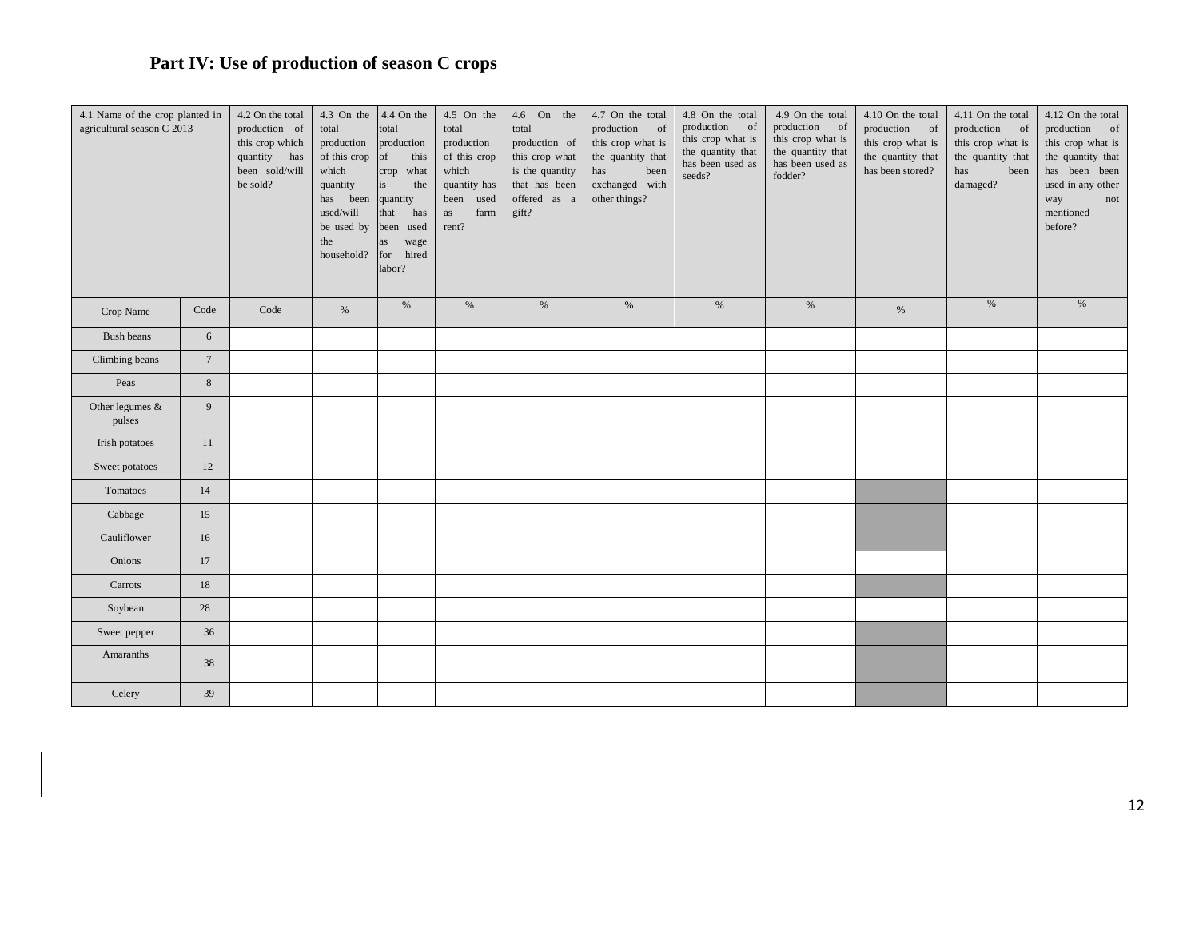# **Part IV: Use of production of season C crops**

| 4.1 Name of the crop planted in<br>agricultural season C 2013 |                 | 4.2 On the total<br>production of<br>this crop which<br>quantity has<br>been sold/will<br>be sold? | 4.3 On the<br>total<br>production<br>of this crop<br>which<br>quantity<br>has been<br>used/will<br>be used by<br>the<br>household? | 4.4 On the<br>total<br>production<br>of<br>this<br>crop what<br>the<br>is<br>quantity<br>that<br>has<br>been used<br>wage<br>as<br>hired<br>for<br>labor? | 4.5 On the<br>total<br>production<br>of this crop<br>which<br>quantity has<br>been<br>used<br>farm<br>as<br>rent? | 4.6 On the<br>total<br>production of<br>this crop what<br>is the quantity<br>that has been<br>offered as a<br>gift? | 4.7 On the total<br>production<br>of<br>this crop what is<br>the quantity that<br>has<br>been<br>exchanged with<br>other things? | 4.8 On the total<br>production of<br>this crop what is<br>the quantity that<br>has been used as<br>seeds? | 4.9 On the total<br>production of<br>this crop what is<br>the quantity that<br>has been used as<br>fodder? | 4.10 On the total<br>production of<br>this crop what is<br>the quantity that<br>has been stored? | 4.11 On the total<br>production<br>- of<br>this crop what is<br>the quantity that<br>has<br>been<br>damaged? | 4.12 On the total<br>production of<br>this crop what is<br>the quantity that<br>has been been<br>used in any other<br>way<br>not<br>mentioned<br>before? |
|---------------------------------------------------------------|-----------------|----------------------------------------------------------------------------------------------------|------------------------------------------------------------------------------------------------------------------------------------|-----------------------------------------------------------------------------------------------------------------------------------------------------------|-------------------------------------------------------------------------------------------------------------------|---------------------------------------------------------------------------------------------------------------------|----------------------------------------------------------------------------------------------------------------------------------|-----------------------------------------------------------------------------------------------------------|------------------------------------------------------------------------------------------------------------|--------------------------------------------------------------------------------------------------|--------------------------------------------------------------------------------------------------------------|----------------------------------------------------------------------------------------------------------------------------------------------------------|
| Crop Name                                                     | Code            | Code                                                                                               | $\%$                                                                                                                               | $\%$                                                                                                                                                      | $\%$                                                                                                              | $\%$                                                                                                                | $\%$                                                                                                                             | $\%$                                                                                                      | $\%$                                                                                                       | $\%$                                                                                             | $\%$                                                                                                         | $\%$                                                                                                                                                     |
| Bush beans                                                    | 6               |                                                                                                    |                                                                                                                                    |                                                                                                                                                           |                                                                                                                   |                                                                                                                     |                                                                                                                                  |                                                                                                           |                                                                                                            |                                                                                                  |                                                                                                              |                                                                                                                                                          |
| Climbing beans                                                | $7\phantom{.0}$ |                                                                                                    |                                                                                                                                    |                                                                                                                                                           |                                                                                                                   |                                                                                                                     |                                                                                                                                  |                                                                                                           |                                                                                                            |                                                                                                  |                                                                                                              |                                                                                                                                                          |
| Peas                                                          | 8               |                                                                                                    |                                                                                                                                    |                                                                                                                                                           |                                                                                                                   |                                                                                                                     |                                                                                                                                  |                                                                                                           |                                                                                                            |                                                                                                  |                                                                                                              |                                                                                                                                                          |
| Other legumes $&$<br>pulses                                   | 9               |                                                                                                    |                                                                                                                                    |                                                                                                                                                           |                                                                                                                   |                                                                                                                     |                                                                                                                                  |                                                                                                           |                                                                                                            |                                                                                                  |                                                                                                              |                                                                                                                                                          |
| Irish potatoes                                                | 11              |                                                                                                    |                                                                                                                                    |                                                                                                                                                           |                                                                                                                   |                                                                                                                     |                                                                                                                                  |                                                                                                           |                                                                                                            |                                                                                                  |                                                                                                              |                                                                                                                                                          |
| Sweet potatoes                                                | 12              |                                                                                                    |                                                                                                                                    |                                                                                                                                                           |                                                                                                                   |                                                                                                                     |                                                                                                                                  |                                                                                                           |                                                                                                            |                                                                                                  |                                                                                                              |                                                                                                                                                          |
| Tomatoes                                                      | 14              |                                                                                                    |                                                                                                                                    |                                                                                                                                                           |                                                                                                                   |                                                                                                                     |                                                                                                                                  |                                                                                                           |                                                                                                            |                                                                                                  |                                                                                                              |                                                                                                                                                          |
| Cabbage                                                       | 15              |                                                                                                    |                                                                                                                                    |                                                                                                                                                           |                                                                                                                   |                                                                                                                     |                                                                                                                                  |                                                                                                           |                                                                                                            |                                                                                                  |                                                                                                              |                                                                                                                                                          |
| Cauliflower                                                   | 16              |                                                                                                    |                                                                                                                                    |                                                                                                                                                           |                                                                                                                   |                                                                                                                     |                                                                                                                                  |                                                                                                           |                                                                                                            |                                                                                                  |                                                                                                              |                                                                                                                                                          |
| Onions                                                        | 17              |                                                                                                    |                                                                                                                                    |                                                                                                                                                           |                                                                                                                   |                                                                                                                     |                                                                                                                                  |                                                                                                           |                                                                                                            |                                                                                                  |                                                                                                              |                                                                                                                                                          |
| Carrots                                                       | 18              |                                                                                                    |                                                                                                                                    |                                                                                                                                                           |                                                                                                                   |                                                                                                                     |                                                                                                                                  |                                                                                                           |                                                                                                            |                                                                                                  |                                                                                                              |                                                                                                                                                          |
| Soybean                                                       | 28              |                                                                                                    |                                                                                                                                    |                                                                                                                                                           |                                                                                                                   |                                                                                                                     |                                                                                                                                  |                                                                                                           |                                                                                                            |                                                                                                  |                                                                                                              |                                                                                                                                                          |
| Sweet pepper                                                  | 36              |                                                                                                    |                                                                                                                                    |                                                                                                                                                           |                                                                                                                   |                                                                                                                     |                                                                                                                                  |                                                                                                           |                                                                                                            |                                                                                                  |                                                                                                              |                                                                                                                                                          |
| Amaranths                                                     | 38              |                                                                                                    |                                                                                                                                    |                                                                                                                                                           |                                                                                                                   |                                                                                                                     |                                                                                                                                  |                                                                                                           |                                                                                                            |                                                                                                  |                                                                                                              |                                                                                                                                                          |
| Celery                                                        | 39              |                                                                                                    |                                                                                                                                    |                                                                                                                                                           |                                                                                                                   |                                                                                                                     |                                                                                                                                  |                                                                                                           |                                                                                                            |                                                                                                  |                                                                                                              |                                                                                                                                                          |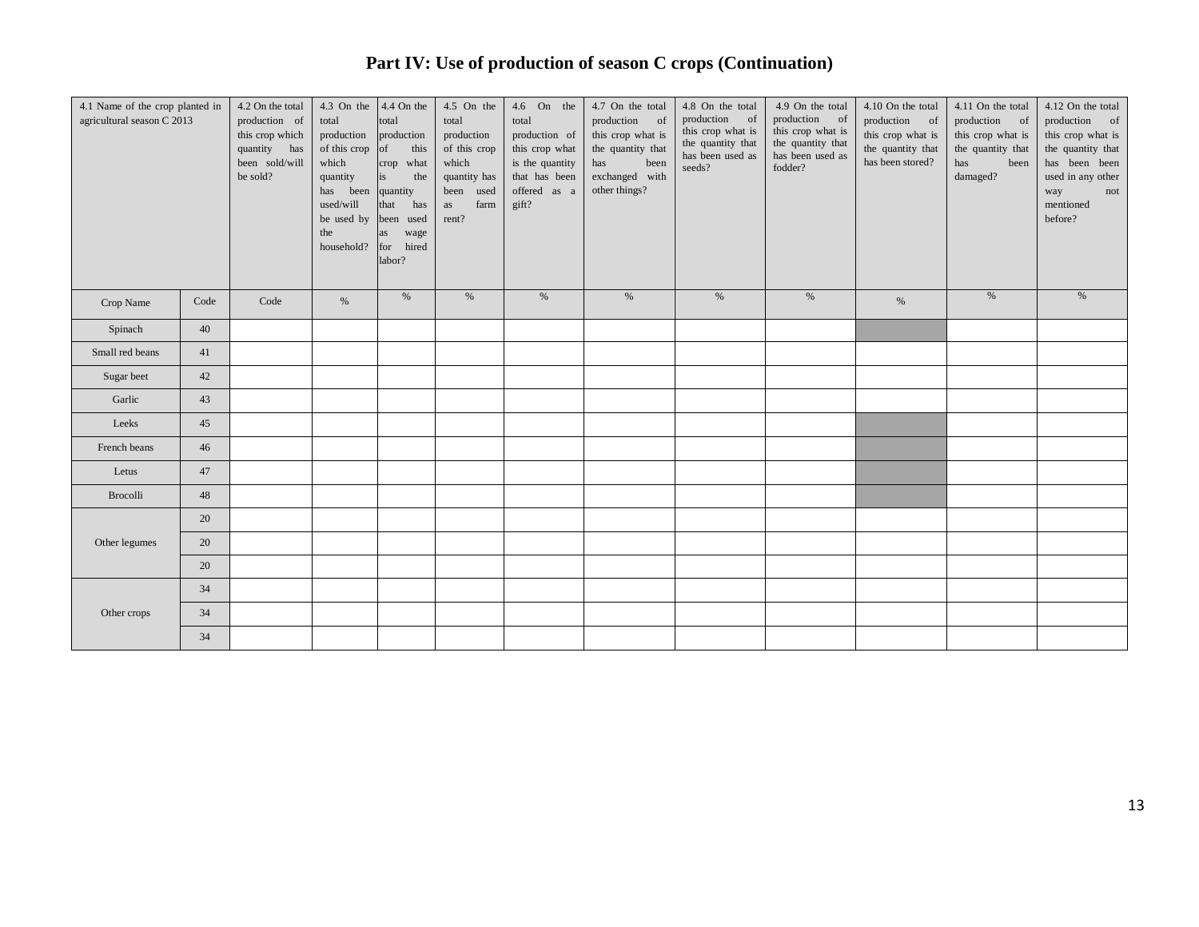# **Part IV: Use of production of season C crops (Continuation)**

| 4.1 Name of the crop planted in<br>agricultural season C 2013 |      | 4.2 On the total<br>production of<br>this crop which<br>quantity has<br>been sold/will<br>be sold? | 4.3 On the<br>total<br>production<br>of this crop<br>which<br>quantity<br>been<br>has<br>used/will<br>be used by<br>the<br>household? | $4.4$ On the<br>total<br>production<br>of<br>this<br>what<br>crop<br>is<br>the<br>quantity<br>that<br>has<br>been used<br>wage<br>as<br>for hired<br>labor? | 4.5 On the<br>total<br>production<br>of this crop<br>which<br>quantity has<br>used<br>been<br>farm<br>as<br>rent? | 4.6 On the<br>total<br>production of<br>this crop what<br>is the quantity<br>that has been<br>offered as a<br>gift? | 4.7 On the total<br>production of<br>this crop what is<br>the quantity that<br>has<br>been<br>exchanged with<br>other things? | 4.8 On the total<br>production of<br>this crop what is<br>the quantity that<br>has been used as<br>seeds? | 4.9 On the total<br>production of<br>this crop what is<br>the quantity that<br>has been used as<br>fodder? | 4.10 On the total<br>production of<br>this crop what is<br>the quantity that<br>has been stored? | 4.11 On the total<br>production of<br>this crop what is<br>the quantity that<br>has<br>been<br>damaged? | 4.12 On the total<br>production of<br>this crop what is<br>the quantity that<br>has been been<br>used in any other<br>way<br>not<br>mentioned<br>before? |
|---------------------------------------------------------------|------|----------------------------------------------------------------------------------------------------|---------------------------------------------------------------------------------------------------------------------------------------|-------------------------------------------------------------------------------------------------------------------------------------------------------------|-------------------------------------------------------------------------------------------------------------------|---------------------------------------------------------------------------------------------------------------------|-------------------------------------------------------------------------------------------------------------------------------|-----------------------------------------------------------------------------------------------------------|------------------------------------------------------------------------------------------------------------|--------------------------------------------------------------------------------------------------|---------------------------------------------------------------------------------------------------------|----------------------------------------------------------------------------------------------------------------------------------------------------------|
| Crop Name                                                     | Code | Code                                                                                               | $\%$                                                                                                                                  | $\%$                                                                                                                                                        | $\%$                                                                                                              | $\%$                                                                                                                | $\%$                                                                                                                          | %                                                                                                         | $\%$                                                                                                       | $\%$                                                                                             | $\%$                                                                                                    | %                                                                                                                                                        |
| Spinach                                                       | 40   |                                                                                                    |                                                                                                                                       |                                                                                                                                                             |                                                                                                                   |                                                                                                                     |                                                                                                                               |                                                                                                           |                                                                                                            |                                                                                                  |                                                                                                         |                                                                                                                                                          |
| Small red beans                                               | 41   |                                                                                                    |                                                                                                                                       |                                                                                                                                                             |                                                                                                                   |                                                                                                                     |                                                                                                                               |                                                                                                           |                                                                                                            |                                                                                                  |                                                                                                         |                                                                                                                                                          |
| Sugar beet                                                    | 42   |                                                                                                    |                                                                                                                                       |                                                                                                                                                             |                                                                                                                   |                                                                                                                     |                                                                                                                               |                                                                                                           |                                                                                                            |                                                                                                  |                                                                                                         |                                                                                                                                                          |
| Garlic                                                        | 43   |                                                                                                    |                                                                                                                                       |                                                                                                                                                             |                                                                                                                   |                                                                                                                     |                                                                                                                               |                                                                                                           |                                                                                                            |                                                                                                  |                                                                                                         |                                                                                                                                                          |
| Leeks                                                         | 45   |                                                                                                    |                                                                                                                                       |                                                                                                                                                             |                                                                                                                   |                                                                                                                     |                                                                                                                               |                                                                                                           |                                                                                                            |                                                                                                  |                                                                                                         |                                                                                                                                                          |
| French beans                                                  | 46   |                                                                                                    |                                                                                                                                       |                                                                                                                                                             |                                                                                                                   |                                                                                                                     |                                                                                                                               |                                                                                                           |                                                                                                            |                                                                                                  |                                                                                                         |                                                                                                                                                          |
| Letus                                                         | 47   |                                                                                                    |                                                                                                                                       |                                                                                                                                                             |                                                                                                                   |                                                                                                                     |                                                                                                                               |                                                                                                           |                                                                                                            |                                                                                                  |                                                                                                         |                                                                                                                                                          |
| Brocolli                                                      | 48   |                                                                                                    |                                                                                                                                       |                                                                                                                                                             |                                                                                                                   |                                                                                                                     |                                                                                                                               |                                                                                                           |                                                                                                            |                                                                                                  |                                                                                                         |                                                                                                                                                          |
| Other legumes                                                 | 20   |                                                                                                    |                                                                                                                                       |                                                                                                                                                             |                                                                                                                   |                                                                                                                     |                                                                                                                               |                                                                                                           |                                                                                                            |                                                                                                  |                                                                                                         |                                                                                                                                                          |
|                                                               | 20   |                                                                                                    |                                                                                                                                       |                                                                                                                                                             |                                                                                                                   |                                                                                                                     |                                                                                                                               |                                                                                                           |                                                                                                            |                                                                                                  |                                                                                                         |                                                                                                                                                          |
|                                                               | 20   |                                                                                                    |                                                                                                                                       |                                                                                                                                                             |                                                                                                                   |                                                                                                                     |                                                                                                                               |                                                                                                           |                                                                                                            |                                                                                                  |                                                                                                         |                                                                                                                                                          |
| Other crops                                                   | 34   |                                                                                                    |                                                                                                                                       |                                                                                                                                                             |                                                                                                                   |                                                                                                                     |                                                                                                                               |                                                                                                           |                                                                                                            |                                                                                                  |                                                                                                         |                                                                                                                                                          |
|                                                               | 34   |                                                                                                    |                                                                                                                                       |                                                                                                                                                             |                                                                                                                   |                                                                                                                     |                                                                                                                               |                                                                                                           |                                                                                                            |                                                                                                  |                                                                                                         |                                                                                                                                                          |
|                                                               | 34   |                                                                                                    |                                                                                                                                       |                                                                                                                                                             |                                                                                                                   |                                                                                                                     |                                                                                                                               |                                                                                                           |                                                                                                            |                                                                                                  |                                                                                                         |                                                                                                                                                          |